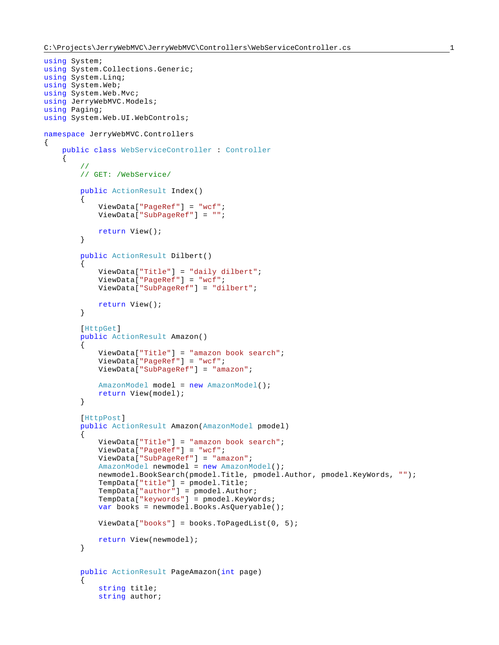{

```
using System;
using System.Collections.Generic;
using System.Linq;
using System.Web;
using System.Web.Mvc;
using JerryWebMVC.Models;
using Paging;
using System.Web.UI.WebControls;
namespace JerryWebMVC.Controllers
     public class WebServiceController : Controller
     {
         //
         // GET: /WebService/
         public ActionResult Index()
\{ ViewData["PageRef"] = "wcf";
             ViewData["SubPageRef"] = "";
             return View();
         }
         public ActionResult Dilbert()
\{ ViewData["Title"] = "daily dilbert";
             ViewData["PageRef"] = "wcf";
             ViewData["SubPageRef"] = "dilbert";
             return View();
         }
         [HttpGet]
         public ActionResult Amazon()
\{ ViewData["Title"] = "amazon book search";
             ViewData["PageRef"] = "wcf";
             ViewData["SubPageRef"] = "amazon";
             AmazonModel model = new AmazonModel();
             return View(model);
         }
         [HttpPost]
         public ActionResult Amazon(AmazonModel pmodel)
         {
             ViewData["Title"] = "amazon book search";
             ViewData["PageRef"] = "wcf";
             ViewData["SubPageRef"] = "amazon";
             AmazonModel newmodel = new AmazonModel();
             newmodel.BookSearch(pmodel.Title, pmodel.Author, pmodel.KeyWords, "");
             TempData["title"] = pmodel.Title;
             TempData["author"] = pmodel.Author;
             TempData["keywords"] = pmodel.KeyWords;
             var books = newmodel.Books.AsQueryable();
             ViewData["books"] = books.ToPagedList(0, 5);
             return View(newmodel);
         }
         public ActionResult PageAmazon(int page)
\{ string title;
             string author;
```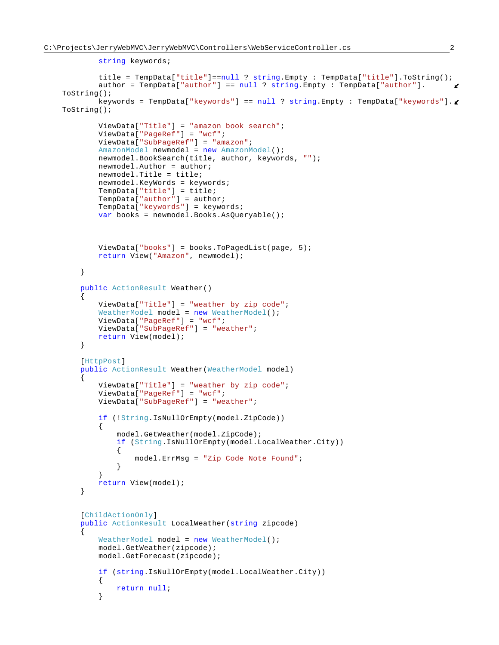```
 string keywords;
            title = TempData["title"]==null ? string.Empty : TempData["title"].ToString();
            author = TempData["author"] == null ? string.Empty : TempData["author"].
   ToString();
            keywords = TempData["keywords"] == null ? string.Empty : TempData["keywords"].
   ToString();
            ViewData["Title"] = "amazon book search";
            ViewData["PageRef"] = "wcf";
            ViewData["SubPageRef"] = "amazon";
            AmazonModel newmodel = new AmazonModel();
            newmodel.BookSearch(title, author, keywords, "");
            newmodel.Author = author;
            newmodel.Title = title;
            newmodel.KeyWords = keywords;
            TempData["title"] = title;
            TempData["author"] = author;
            TempData["keywords"] = keywords;
            var books = newmodel.Books.AsQueryable();
            ViewData["books"] = books.ToPagedList(page, 5);
            return View("Amazon", newmodel);
        }
        public ActionResult Weather()
\{ ViewData["Title"] = "weather by zip code";
           WeatherModel model = new WeatherModel();
            ViewData["PageRef"] = "wcf";
            ViewData["SubPageRef"] = "weather";
            return View(model);
        }
        [HttpPost]
        public ActionResult Weather(WeatherModel model)
\{ ViewData["Title"] = "weather by zip code";
            ViewData["PageRef"] = "wcf";
            ViewData["SubPageRef"] = "weather";
            if (!String.IsNullOrEmpty(model.ZipCode))
\{ model.GetWeather(model.ZipCode);
                if (String.IsNullOrEmpty(model.LocalWeather.City))
{
                    model.ErrMsg = "Zip Code Note Found";
 }
 }
            return View(model);
        }
        [ChildActionOnly]
        public ActionResult LocalWeather(string zipcode)
\{WeatherModel model = new WeatherModel();
            model.GetWeather(zipcode);
            model.GetForecast(zipcode);
            if (string.IsNullOrEmpty(model.LocalWeather.City))
\{return null;<br>}
 }
```